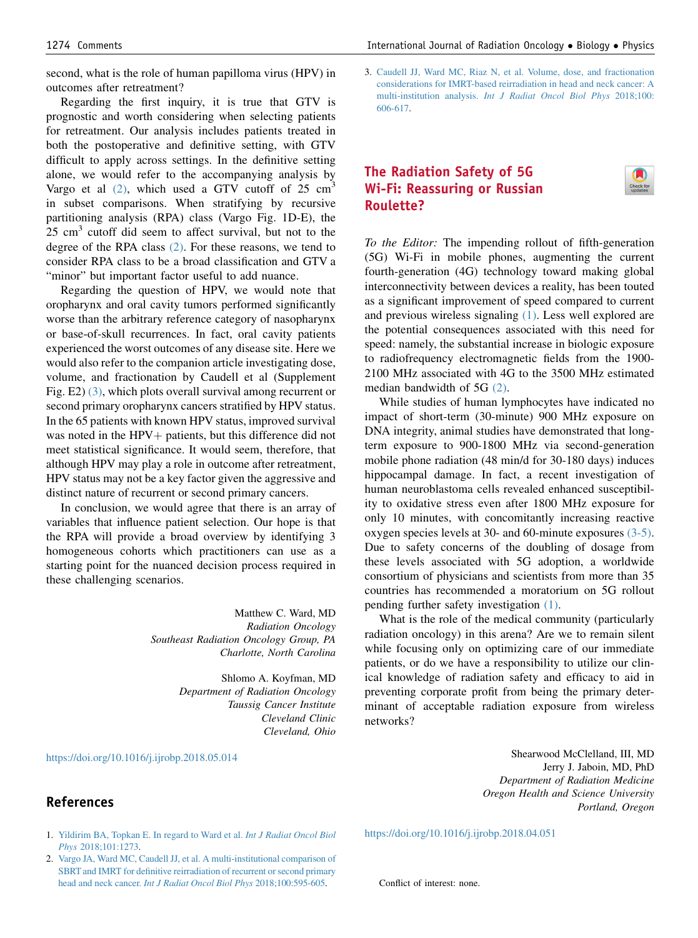second, what is the role of human papilloma virus (HPV) in outcomes after retreatment?

Regarding the first inquiry, it is true that GTV is prognostic and worth considering when selecting patients for retreatment. Our analysis includes patients treated in both the postoperative and definitive setting, with GTV difficult to apply across settings. In the definitive setting alone, we would refer to the accompanying analysis by Vargo et al  $(2)$ , which used a GTV cutoff of 25 cm<sup>3</sup> in subset comparisons. When stratifying by recursive partitioning analysis (RPA) class (Vargo Fig. 1D-E), the  $25 \text{ cm}^3$  cutoff did seem to affect survival, but not to the degree of the RPA class (2). For these reasons, we tend to consider RPA class to be a broad classification and GTV a "minor" but important factor useful to add nuance.

Regarding the question of HPV, we would note that oropharynx and oral cavity tumors performed significantly worse than the arbitrary reference category of nasopharynx or base-of-skull recurrences. In fact, oral cavity patients experienced the worst outcomes of any disease site. Here we would also refer to the companion article investigating dose, volume, and fractionation by Caudell et al (Supplement Fig. E2) (3), which plots overall survival among recurrent or second primary oropharynx cancers stratified by HPV status. In the 65 patients with known HPV status, improved survival was noted in the HPV $+$  patients, but this difference did not meet statistical significance. It would seem, therefore, that although HPV may play a role in outcome after retreatment, HPV status may not be a key factor given the aggressive and distinct nature of recurrent or second primary cancers.

In conclusion, we would agree that there is an array of variables that influence patient selection. Our hope is that the RPA will provide a broad overview by identifying 3 homogeneous cohorts which practitioners can use as a starting point for the nuanced decision process required in these challenging scenarios.

> Matthew C. Ward, MD Radiation Oncology Southeast Radiation Oncology Group, PA Charlotte, North Carolina

> > Shlomo A. Koyfman, MD Department of Radiation Oncology Taussig Cancer Institute Cleveland Clinic Cleveland, Ohio

## <https://doi.org/10.1016/j.ijrobp.2018.05.014>

## References

3. [Caudell JJ, Ward MC, Riaz N, et al. Volume, dose, and fractionation](http://refhub.elsevier.com/S0360-3016(18)30718-1/sref2) [considerations for IMRT-based reirradiation in head and neck cancer: A](http://refhub.elsevier.com/S0360-3016(18)30718-1/sref2) multi-institution analysis. [Int J Radiat Oncol Biol Phys](http://refhub.elsevier.com/S0360-3016(18)30718-1/sref2) 2018;100:

## The Radiation Safety of 5G Wi-Fi: Reassuring or Russian Roulette?

[606-617.](http://refhub.elsevier.com/S0360-3016(18)30718-1/sref2)

To the Editor: The impending rollout of fifth-generation (5G) Wi-Fi in mobile phones, augmenting the current fourth-generation (4G) technology toward making global interconnectivity between devices a reality, has been touted as a significant improvement of speed compared to current and previous wireless signaling [\(1\).](#page-1-0) Less well explored are the potential consequences associated with this need for speed: namely, the substantial increase in biologic exposure to radiofrequency electromagnetic fields from the 1900- 2100 MHz associated with 4G to the 3500 MHz estimated median bandwidth of 5G [\(2\)](#page-1-0).

While studies of human lymphocytes have indicated no impact of short-term (30-minute) 900 MHz exposure on DNA integrity, animal studies have demonstrated that longterm exposure to 900-1800 MHz via second-generation mobile phone radiation (48 min/d for 30-180 days) induces hippocampal damage. In fact, a recent investigation of human neuroblastoma cells revealed enhanced susceptibility to oxidative stress even after 1800 MHz exposure for only 10 minutes, with concomitantly increasing reactive oxygen species levels at 30- and 60-minute exposures [\(3-5\).](#page-1-0) Due to safety concerns of the doubling of dosage from these levels associated with 5G adoption, a worldwide consortium of physicians and scientists from more than 35 countries has recommended a moratorium on 5G rollout pending further safety investigation [\(1\).](#page-1-0)

What is the role of the medical community (particularly radiation oncology) in this arena? Are we to remain silent while focusing only on optimizing care of our immediate patients, or do we have a responsibility to utilize our clinical knowledge of radiation safety and efficacy to aid in preventing corporate profit from being the primary determinant of acceptable radiation exposure from wireless networks?

> Shearwood McClelland, III, MD Jerry J. Jaboin, MD, PhD Department of Radiation Medicine Oregon Health and Science University Portland, Oregon

- 1. [Yildirim BA, Topkan E. In regard to Ward et al.](http://refhub.elsevier.com/S0360-3016(18)30718-1/sref3) Int J Radiat Oncol Biol Phys [2018;101:1273](http://refhub.elsevier.com/S0360-3016(18)30718-1/sref3).
- 2. [Vargo JA, Ward MC, Caudell JJ, et al. A multi-institutional comparison of](http://refhub.elsevier.com/S0360-3016(18)30718-1/sref1) [SBRT and IMRT for definitive reirradiation of recurrent or second primary](http://refhub.elsevier.com/S0360-3016(18)30718-1/sref1) head and neck cancer. [Int J Radiat Oncol Biol Phys](http://refhub.elsevier.com/S0360-3016(18)30718-1/sref1) 2018;100:595-605.

<https://doi.org/10.1016/j.ijrobp.2018.04.051>

Conflict of interest: none.